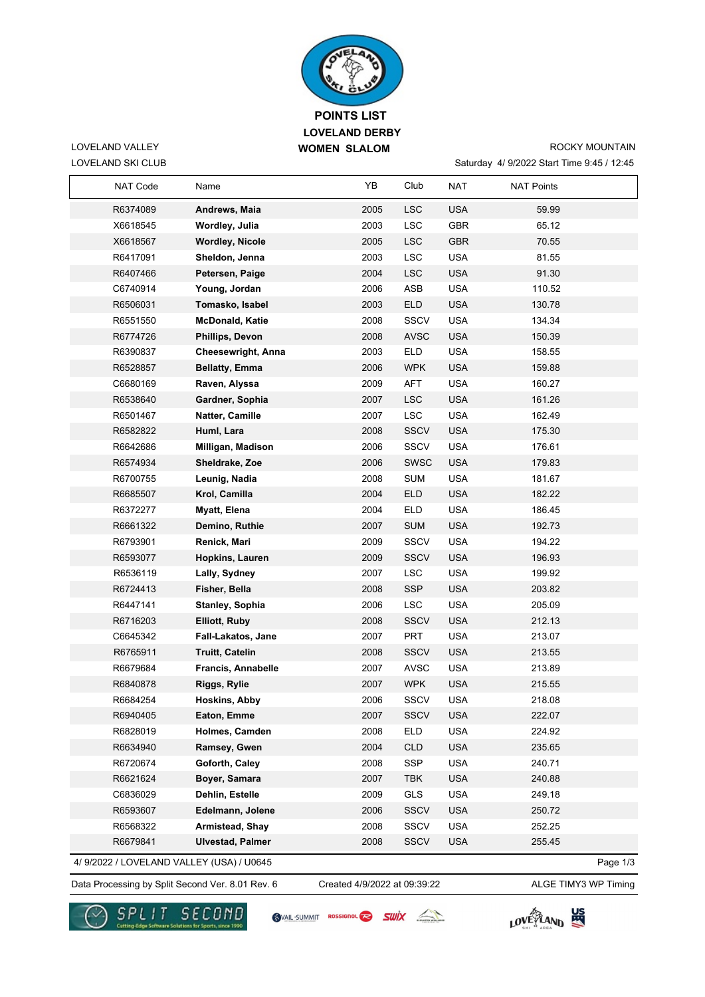

LOVELAND SKI CLUB LOVELAND VALLEY

Saturday 4/ 9/2022 Start Time 9:45 / 12:45 ROCKY MOUNTAIN

| NAT Code                                  | Name                      | YB   | Club        | <b>NAT</b> | <b>NAT Points</b> |
|-------------------------------------------|---------------------------|------|-------------|------------|-------------------|
| R6374089                                  | Andrews, Maia             | 2005 | <b>LSC</b>  | <b>USA</b> | 59.99             |
| X6618545                                  | Wordley, Julia            | 2003 | <b>LSC</b>  | <b>GBR</b> | 65.12             |
| X6618567                                  | <b>Wordley, Nicole</b>    | 2005 | <b>LSC</b>  | <b>GBR</b> | 70.55             |
| R6417091                                  | Sheldon, Jenna            | 2003 | <b>LSC</b>  | <b>USA</b> | 81.55             |
| R6407466                                  | Petersen, Paige           | 2004 | <b>LSC</b>  | <b>USA</b> | 91.30             |
| C6740914                                  | Young, Jordan             | 2006 | ASB         | <b>USA</b> | 110.52            |
| R6506031                                  | Tomasko, Isabel           | 2003 | <b>ELD</b>  | <b>USA</b> | 130.78            |
| R6551550                                  | <b>McDonald, Katie</b>    | 2008 | <b>SSCV</b> | <b>USA</b> | 134.34            |
| R6774726                                  | Phillips, Devon           | 2008 | <b>AVSC</b> | <b>USA</b> | 150.39            |
| R6390837                                  | <b>Cheesewright, Anna</b> | 2003 | <b>ELD</b>  | <b>USA</b> | 158.55            |
| R6528857                                  | <b>Bellatty, Emma</b>     | 2006 | <b>WPK</b>  | <b>USA</b> | 159.88            |
| C6680169                                  | Raven, Alyssa             | 2009 | AFT         | <b>USA</b> | 160.27            |
| R6538640                                  | Gardner, Sophia           | 2007 | <b>LSC</b>  | <b>USA</b> | 161.26            |
| R6501467                                  | Natter, Camille           | 2007 | <b>LSC</b>  | <b>USA</b> | 162.49            |
| R6582822                                  | Huml, Lara                | 2008 | <b>SSCV</b> | <b>USA</b> | 175.30            |
| R6642686                                  | Milligan, Madison         | 2006 | SSCV        | <b>USA</b> | 176.61            |
| R6574934                                  | Sheldrake, Zoe            | 2006 | <b>SWSC</b> | <b>USA</b> | 179.83            |
| R6700755                                  | Leunig, Nadia             | 2008 | <b>SUM</b>  | <b>USA</b> | 181.67            |
| R6685507                                  | Krol, Camilla             | 2004 | <b>ELD</b>  | <b>USA</b> | 182.22            |
| R6372277                                  | Myatt, Elena              | 2004 | <b>ELD</b>  | <b>USA</b> | 186.45            |
| R6661322                                  | Demino, Ruthie            | 2007 | <b>SUM</b>  | <b>USA</b> | 192.73            |
| R6793901                                  | Renick, Mari              | 2009 | <b>SSCV</b> | <b>USA</b> | 194.22            |
| R6593077                                  | Hopkins, Lauren           | 2009 | <b>SSCV</b> | <b>USA</b> | 196.93            |
| R6536119                                  | Lally, Sydney             | 2007 | <b>LSC</b>  | <b>USA</b> | 199.92            |
| R6724413                                  | Fisher, Bella             | 2008 | <b>SSP</b>  | <b>USA</b> | 203.82            |
| R6447141                                  | <b>Stanley, Sophia</b>    | 2006 | LSC         | <b>USA</b> | 205.09            |
| R6716203                                  | Elliott, Ruby             | 2008 | <b>SSCV</b> | <b>USA</b> | 212.13            |
| C6645342                                  | Fall-Lakatos, Jane        | 2007 | <b>PRT</b>  | <b>USA</b> | 213.07            |
| R6765911                                  | <b>Truitt, Catelin</b>    | 2008 | <b>SSCV</b> | <b>USA</b> | 213.55            |
| R6679684                                  | <b>Francis, Annabelle</b> | 2007 | <b>AVSC</b> | USA        | 213.89            |
| R6840878                                  | Riggs, Rylie              | 2007 | <b>WPK</b>  | <b>USA</b> | 215.55            |
| R6684254                                  | <b>Hoskins, Abby</b>      | 2006 | <b>SSCV</b> | <b>USA</b> | 218.08            |
| R6940405                                  | Eaton, Emme               | 2007 | <b>SSCV</b> | <b>USA</b> | 222.07            |
| R6828019                                  | Holmes, Camden            | 2008 | ELD         | <b>USA</b> | 224.92            |
| R6634940                                  | Ramsey, Gwen              | 2004 | <b>CLD</b>  | <b>USA</b> | 235.65            |
| R6720674                                  | Goforth, Caley            | 2008 | SSP         | <b>USA</b> | 240.71            |
| R6621624                                  | Boyer, Samara             | 2007 | <b>TBK</b>  | <b>USA</b> | 240.88            |
| C6836029                                  | Dehlin, Estelle           | 2009 | GLS         | <b>USA</b> | 249.18            |
| R6593607                                  | Edelmann, Jolene          | 2006 | SSCV        | <b>USA</b> | 250.72            |
| R6568322                                  | Armistead, Shay           | 2008 | SSCV        | <b>USA</b> | 252.25            |
| R6679841                                  | <b>Ulvestad, Palmer</b>   | 2008 | <b>SSCV</b> | <b>USA</b> | 255.45            |
| 4/ 9/2022 / LOVELAND VALLEY (USA) / U0645 |                           |      |             |            | Page 1/3          |

Data Processing by Split Second Ver. 8.01 Rev. 6 Created 4/9/2022 at 09:39:22 ALGE TIMY3 WP Timing

Created 4/9/2022 at 09:39:22





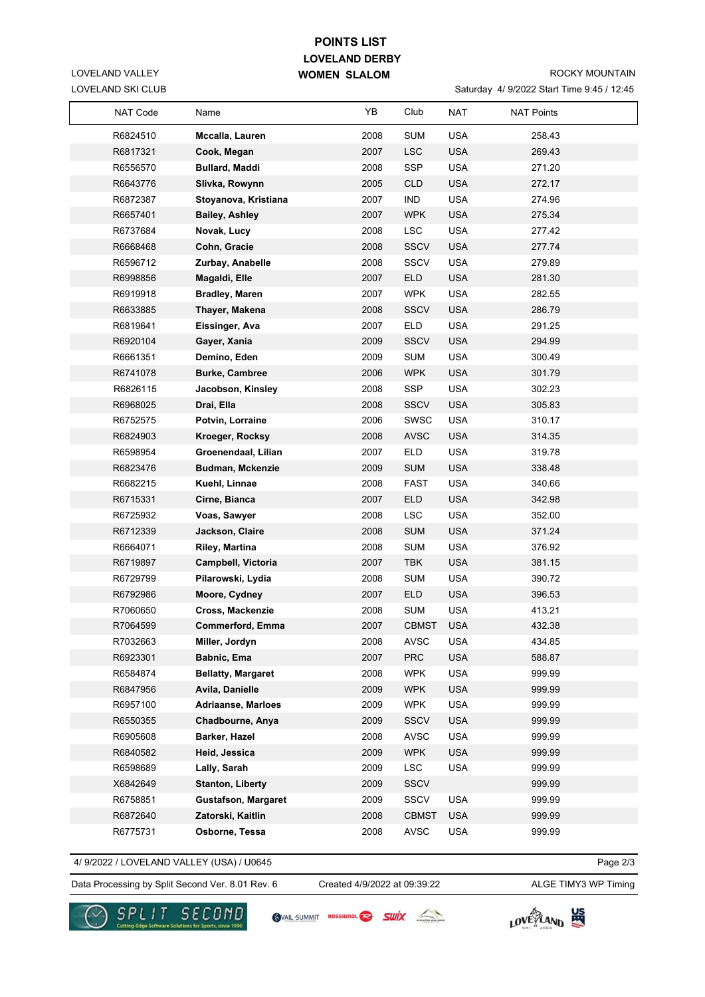## **LOVELAND DERBY WOMEN SLALOM POINTS LIST**

LOVELAND SKI CLUB LOVELAND VALLEY

## ROCKY MOUNTAIN

Saturday 4/ 9/2022 Start Time 9:45 / 12:45

| <b>NAT Code</b> | Name                       | YB   | Club         | <b>NAT</b> | <b>NAT Points</b> |
|-----------------|----------------------------|------|--------------|------------|-------------------|
| R6824510        | Mccalla, Lauren            | 2008 | <b>SUM</b>   | <b>USA</b> | 258.43            |
| R6817321        | Cook, Megan                | 2007 | <b>LSC</b>   | <b>USA</b> | 269.43            |
| R6556570        | Bullard, Maddi             | 2008 | SSP          | <b>USA</b> | 271.20            |
| R6643776        | Slivka, Rowynn             | 2005 | <b>CLD</b>   | <b>USA</b> | 272.17            |
| R6872387        | Stoyanova, Kristiana       | 2007 | <b>IND</b>   | <b>USA</b> | 274.96            |
| R6657401        | <b>Bailey, Ashley</b>      | 2007 | <b>WPK</b>   | <b>USA</b> | 275.34            |
| R6737684        | Novak, Lucy                | 2008 | LSC          | <b>USA</b> | 277.42            |
| R6668468        | Cohn, Gracie               | 2008 | <b>SSCV</b>  | <b>USA</b> | 277.74            |
| R6596712        | Zurbay, Anabelle           | 2008 | SSCV         | <b>USA</b> | 279.89            |
| R6998856        | Magaldi, Elle              | 2007 | <b>ELD</b>   | <b>USA</b> | 281.30            |
| R6919918        | <b>Bradley, Maren</b>      | 2007 | <b>WPK</b>   | <b>USA</b> | 282.55            |
| R6633885        | Thayer, Makena             | 2008 | <b>SSCV</b>  | <b>USA</b> | 286.79            |
| R6819641        | Eissinger, Ava             | 2007 | <b>ELD</b>   | <b>USA</b> | 291.25            |
| R6920104        | Gayer, Xania               | 2009 | <b>SSCV</b>  | <b>USA</b> | 294.99            |
| R6661351        | Demino, Eden               | 2009 | <b>SUM</b>   | <b>USA</b> | 300.49            |
| R6741078        | <b>Burke, Cambree</b>      | 2006 | <b>WPK</b>   | <b>USA</b> | 301.79            |
| R6826115        | Jacobson, Kinsley          | 2008 | SSP          | <b>USA</b> | 302.23            |
| R6968025        | Drai, Ella                 | 2008 | <b>SSCV</b>  | <b>USA</b> | 305.83            |
| R6752575        | Potvin, Lorraine           | 2006 | SWSC         | <b>USA</b> | 310.17            |
| R6824903        | Kroeger, Rocksy            | 2008 | <b>AVSC</b>  | <b>USA</b> | 314.35            |
| R6598954        | Groenendaal, Lilian        | 2007 | <b>ELD</b>   | <b>USA</b> | 319.78            |
| R6823476        | <b>Budman, Mckenzie</b>    | 2009 | <b>SUM</b>   | <b>USA</b> | 338.48            |
| R6682215        | Kuehl, Linnae              | 2008 | <b>FAST</b>  | <b>USA</b> | 340.66            |
| R6715331        | Cirne, Bianca              | 2007 | <b>ELD</b>   | <b>USA</b> | 342.98            |
| R6725932        | Voas, Sawyer               | 2008 | <b>LSC</b>   | <b>USA</b> | 352.00            |
| R6712339        | Jackson, Claire            | 2008 | <b>SUM</b>   | <b>USA</b> | 371.24            |
| R6664071        | Riley, Martina             | 2008 | <b>SUM</b>   | <b>USA</b> | 376.92            |
| R6719897        | Campbell, Victoria         | 2007 | <b>TBK</b>   | <b>USA</b> | 381.15            |
| R6729799        | Pilarowski, Lydia          | 2008 | <b>SUM</b>   | <b>USA</b> | 390.72            |
| R6792986        | Moore, Cydney              | 2007 | <b>ELD</b>   | <b>USA</b> | 396.53            |
| R7060650        | Cross, Mackenzie           | 2008 | <b>SUM</b>   | <b>USA</b> | 413.21            |
| R7064599        | Commerford, Emma           | 2007 | <b>CBMST</b> | <b>USA</b> | 432.38            |
| R7032663        | Miller, Jordyn             | 2008 | <b>AVSC</b>  | <b>USA</b> | 434.85            |
| R6923301        | Babnic, Ema                | 2007 | <b>PRC</b>   | <b>USA</b> | 588.87            |
| R6584874        | <b>Bellatty, Margaret</b>  | 2008 | <b>WPK</b>   | <b>USA</b> | 999.99            |
| R6847956        | Avila, Danielle            | 2009 | <b>WPK</b>   | <b>USA</b> | 999.99            |
| R6957100        | <b>Adriaanse, Marloes</b>  | 2009 | <b>WPK</b>   | <b>USA</b> | 999.99            |
| R6550355        | Chadbourne, Anya           | 2009 | <b>SSCV</b>  | <b>USA</b> | 999.99            |
| R6905608        | Barker, Hazel              | 2008 | <b>AVSC</b>  | <b>USA</b> | 999.99            |
| R6840582        | Heid, Jessica              | 2009 | <b>WPK</b>   | <b>USA</b> | 999.99            |
| R6598689        | Lally, Sarah               | 2009 | LSC          | <b>USA</b> | 999.99            |
| X6842649        | <b>Stanton, Liberty</b>    | 2009 | <b>SSCV</b>  |            | 999.99            |
| R6758851        | <b>Gustafson, Margaret</b> | 2009 | <b>SSCV</b>  | <b>USA</b> | 999.99            |
| R6872640        | Zatorski, Kaitlin          | 2008 | <b>CBMST</b> | <b>USA</b> | 999.99            |
| R6775731        | Osborne, Tessa             | 2008 | <b>AVSC</b>  | <b>USA</b> | 999.99            |

4/ 9/2022 / LOVELAND VALLEY (USA) / U0645

Data Processing by Split Second Ver. 8.01 Rev. 6 Created 4/9/2022 at 09:39:22 ALGE TIMY3 WP Timing Created 4/9/2022 at 09:39:22

SVAIL-SUMMIT ROSSIGNOL SWIX

Page 2/3